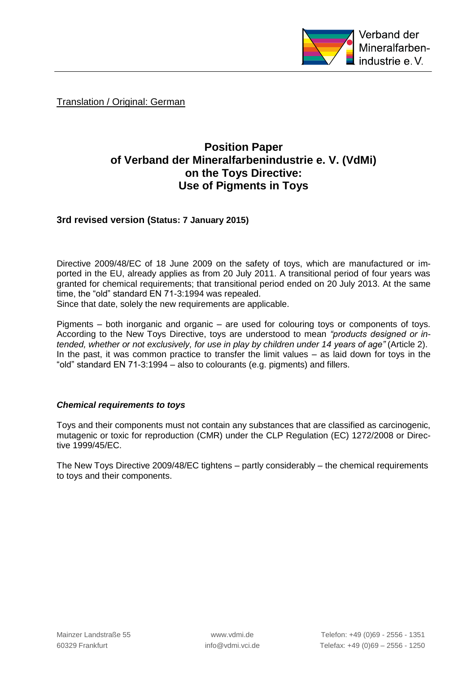

Translation / Original: German

## **Position Paper of Verband der Mineralfarbenindustrie e. V. (VdMi) on the Toys Directive: Use of Pigments in Toys**

**3rd revised version (Status: 7 January 2015)**

Directive 2009/48/EC of 18 June 2009 on the safety of toys, which are manufactured or imported in the EU, already applies as from 20 July 2011. A transitional period of four years was granted for chemical requirements; that transitional period ended on 20 July 2013. At the same time, the "old" standard EN 71-3:1994 was repealed.

Since that date, solely the new requirements are applicable.

Pigments – both inorganic and organic – are used for colouring toys or components of toys. According to the New Toys Directive, toys are understood to mean *"products designed or intended, whether or not exclusively, for use in play by children under 14 years of age"* (Article 2). In the past, it was common practice to transfer the limit values – as laid down for toys in the "old" standard EN 71-3:1994 – also to colourants (e.g. pigments) and fillers.

## *Chemical requirements to toys*

Toys and their components must not contain any substances that are classified as carcinogenic, mutagenic or toxic for reproduction (CMR) under the CLP Regulation (EC) 1272/2008 or Directive 1999/45/EC.

The New Toys Directive 2009/48/EC tightens – partly considerably – the chemical requirements to toys and their components.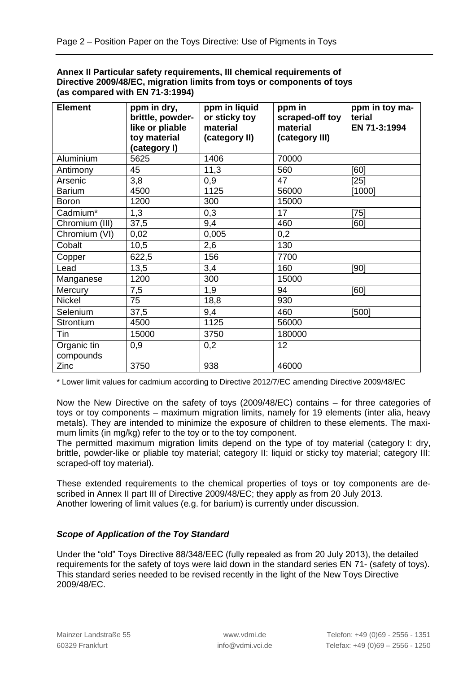| Annex II Particular safety requirements, III chemical requirements of  |  |
|------------------------------------------------------------------------|--|
| Directive 2009/48/EC, migration limits from toys or components of toys |  |
| (as compared with EN 71-3:1994)                                        |  |

| <b>Element</b>           | ppm in dry,<br>brittle, powder-<br>like or pliable | ppm in liquid<br>or sticky toy<br>material | ppm in<br>scraped-off toy<br>material | ppm in toy ma-<br>terial<br>EN 71-3:1994 |
|--------------------------|----------------------------------------------------|--------------------------------------------|---------------------------------------|------------------------------------------|
|                          | toy material<br>(category I)                       | (category II)                              | (category III)                        |                                          |
| Aluminium                | 5625                                               | 1406                                       | 70000                                 |                                          |
| Antimony                 | 45                                                 | 11,3                                       | 560                                   | [60]                                     |
| Arsenic                  | 3,8                                                | 0,9                                        | 47                                    | $[25]$                                   |
| <b>Barium</b>            | 4500                                               | 1125                                       | 56000                                 | [1000]                                   |
| <b>Boron</b>             | 1200                                               | 300                                        | 15000                                 |                                          |
| Cadmium*                 | 1,3                                                | 0,3                                        | 17                                    | $[75]$                                   |
| Chromium (III)           | 37,5                                               | 9,4                                        | 460                                   | [60]                                     |
| Chromium (VI)            | 0,02                                               | 0,005                                      | 0,2                                   |                                          |
| Cobalt                   | 10,5                                               | 2,6                                        | 130                                   |                                          |
| Copper                   | 622,5                                              | 156                                        | 7700                                  |                                          |
| Lead                     | 13,5                                               | 3,4                                        | 160                                   | [90]                                     |
| Manganese                | 1200                                               | 300                                        | 15000                                 |                                          |
| Mercury                  | 7,5                                                | 1,9                                        | 94                                    | [60]                                     |
| Nickel                   | 75                                                 | 18,8                                       | 930                                   |                                          |
| Selenium                 | 37,5                                               | 9,4                                        | 460                                   | [500]                                    |
| Strontium                | 4500                                               | 1125                                       | 56000                                 |                                          |
| Tin                      | 15000                                              | 3750                                       | 180000                                |                                          |
| Organic tin<br>compounds | 0,9                                                | 0,2                                        | 12                                    |                                          |
| Zinc                     | 3750                                               | 938                                        | 46000                                 |                                          |

\* Lower limit values for cadmium according to Directive 2012/7/EC amending Directive 2009/48/EC

Now the New Directive on the safety of toys (2009/48/EC) contains – for three categories of toys or toy components – maximum migration limits, namely for 19 elements (inter alia, heavy metals). They are intended to minimize the exposure of children to these elements. The maximum limits (in mg/kg) refer to the toy or to the toy component.

The permitted maximum migration limits depend on the type of toy material (category I: dry, brittle, powder-like or pliable toy material; category II: liquid or sticky toy material; category III: scraped-off toy material).

These extended requirements to the chemical properties of toys or toy components are described in Annex II part III of Directive 2009/48/EC; they apply as from 20 July 2013. Another lowering of limit values (e.g. for barium) is currently under discussion.

## *Scope of Application of the Toy Standard*

Under the "old" Toys Directive 88/348/EEC (fully repealed as from 20 July 2013), the detailed requirements for the safety of toys were laid down in the standard series EN 71- (safety of toys). This standard series needed to be revised recently in the light of the New Toys Directive 2009/48/EC.